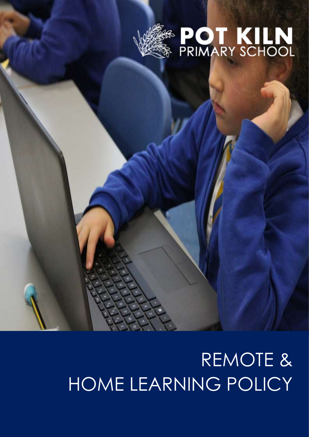



# REMOTE & HOME LEARNING POLICY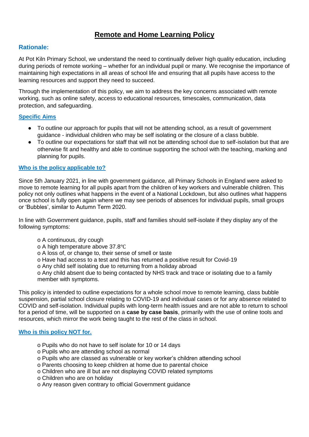# **Remote and Home Learning Policy**

# **Rationale:**

At Pot Kiln Primary School, we understand the need to continually deliver high quality education, including during periods of remote working – whether for an individual pupil or many. We recognise the importance of maintaining high expectations in all areas of school life and ensuring that all pupils have access to the learning resources and support they need to succeed.

Through the implementation of this policy, we aim to address the key concerns associated with remote working, such as online safety, access to educational resources, timescales, communication, data protection, and safeguarding.

## **Specific Aims**

- To outline our approach for pupils that will not be attending school, as a result of government guidance - individual children who may be self isolating or the closure of a class bubble.
- To outline our expectations for staff that will not be attending school due to self-isolation but that are otherwise fit and healthy and able to continue supporting the school with the teaching, marking and planning for pupils.

#### **Who is the policy applicable to?**

Since 5th January 2021, in line with government guidance, all Primary Schools in England were asked to move to remote learning for all pupils apart from the children of key workers and vulnerable children. This policy not only outlines what happens in the event of a National Lockdown, but also outlines what happens once school is fully open again where we may see periods of absences for individual pupils, small groups or 'Bubbles', similar to Autumn Term 2020.

In line with Government guidance, pupils, staff and families should self-isolate if they display any of the following symptoms:

o A continuous, dry cough

o A high temperature above 37.8℃

- o A loss of, or change to, their sense of smell or taste
- o Have had access to a test and this has returned a positive result for Covid-19
- o Any child self isolating due to returning from a holiday abroad

o Any child absent due to being contacted by NHS track and trace or isolating due to a family member with symptoms.

This policy is intended to outline expectations for a whole school move to remote learning, class bubble suspension, partial school closure relating to COVID-19 and individual cases or for any absence related to COVID and self-isolation. Individual pupils with long-term health issues and are not able to return to school for a period of time, will be supported on a **case by case basis**, primarily with the use of online tools and resources, which mirror the work being taught to the rest of the class in school.

#### **Who is this policy NOT for.**

- o Pupils who do not have to self isolate for 10 or 14 days
- o Pupils who are attending school as normal
- o Pupils who are classed as vulnerable or key worker's children attending school
- o Parents choosing to keep children at home due to parental choice
- o Children who are ill but are not displaying COVID related symptoms
- o Children who are on holiday
- o Any reason given contrary to official Government guidance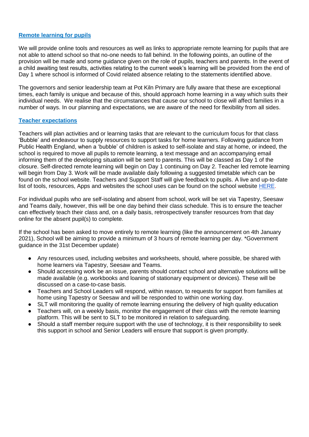#### **Remote learning for pupils**

We will provide online tools and resources as well as links to appropriate remote learning for pupils that are not able to attend school so that no-one needs to fall behind. In the following points, an outline of the provision will be made and some guidance given on the role of pupils, teachers and parents. In the event of a child awaiting test results, activities relating to the current week's learning will be provided from the end of Day 1 where school is informed of Covid related absence relating to the statements identified above.

The governors and senior leadership team at Pot Kiln Primary are fully aware that these are exceptional times, each family is unique and because of this, should approach home learning in a way which suits their individual needs. We realise that the circumstances that cause our school to close will affect families in a number of ways. In our planning and expectations, we are aware of the need for flexibility from all sides.

#### **Teacher expectations**

Teachers will plan activities and or learning tasks that are relevant to the curriculum focus for that class 'Bubble' and endeavour to supply resources to support tasks for home learners. Following guidance from Public Health England, when a 'bubble' of children is asked to self-isolate and stay at home, or indeed, the school is required to move all pupils to remote learning, a text message and an accompanying email informing them of the developing situation will be sent to parents. This will be classed as Day 1 of the closure. Self-directed remote learning will begin on Day 1 continuing on Day 2. Teacher led remote learning will begin from Day 3. Work will be made available daily following a suggested timetable which can be found on the school website. Teachers and Support Staff will give feedback to pupils. A live and up-to-date list of tools, resources, Apps and websites the school uses can be found on the school website [HERE.](http://potkiln.net/remote-learning)

For individual pupils who are self-isolating and absent from school, work will be set via Tapestry, Seesaw and Teams daily, however, this will be one day behind their class schedule. This is to ensure the teacher can effectively teach their class and, on a daily basis, retrospectively transfer resources from that day online for the absent pupil(s) to complete.

If the school has been asked to move entirely to remote learning (like the announcement on 4th January 2021), School will be aiming to provide a minimum of 3 hours of remote learning per day. \*Government guidance in the 31st December update)

- Any resources used, including websites and worksheets, should, where possible, be shared with home learners via Tapestry, Seesaw and Teams.
- Should accessing work be an issue, parents should contact school and alternative solutions will be made available (e.g. workbooks and loaning of stationary equipment or devices). These will be discussed on a case-to-case basis.
- Teachers and School Leaders will respond, within reason, to requests for support from families at home using Tapestry or Seesaw and will be responded to within one working day.
- SLT will monitoring the quality of remote learning ensuring the delivery of high quality education
- Teachers will, on a weekly basis, monitor the engagement of their class with the remote learning platform. This will be sent to SLT to be monitored in relation to safeguarding.
- Should a staff member require support with the use of technology, it is their responsibility to seek this support in school and Senior Leaders will ensure that support is given promptly.